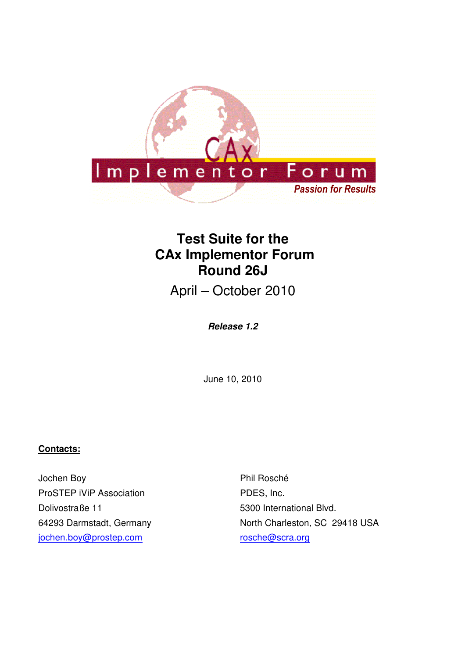

# **Test Suite for the CAx Implementor Forum Round 26J**

April – October 2010

**Release 1.2**

June 10, 2010

## **Contacts:**

Jochen Boy ProSTEP iViP Association Dolivostraße 11 64293 Darmstadt, Germany jochen.boy@prostep.com

Phil Rosché PDES, Inc. 5300 International Blvd. North Charleston, SC 29418 USA rosche@scra.org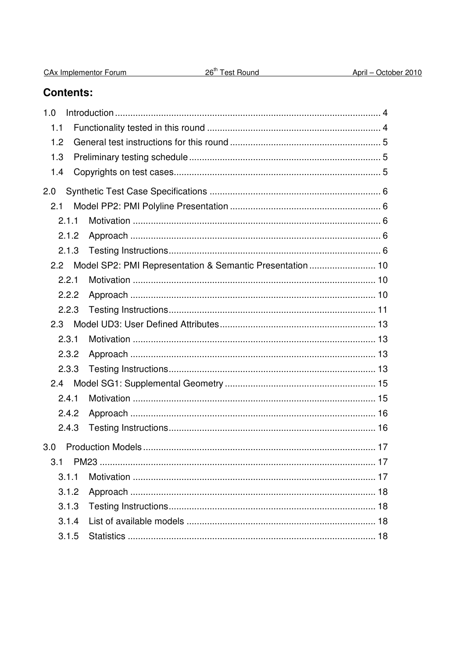| CAx Implementor Forum | 26 <sup>th</sup> Test Round |
|-----------------------|-----------------------------|
|                       |                             |

# **Contents:**

| 1.0           |                                                          |
|---------------|----------------------------------------------------------|
| 1.1           |                                                          |
| 1.2           |                                                          |
| 1.3           |                                                          |
| 1.4           |                                                          |
| 2.0           |                                                          |
| 2.1           |                                                          |
| 2.1.1         |                                                          |
| 2.1.2         |                                                          |
| 2.1.3         |                                                          |
| $2.2^{\circ}$ | Model SP2: PMI Representation & Semantic Presentation 10 |
| 2.2.1         |                                                          |
| 2.2.2         |                                                          |
| 2.2.3         |                                                          |
| 2.3           |                                                          |
| 2.3.1         |                                                          |
| 2.3.2         |                                                          |
| 2.3.3         |                                                          |
| 2.4           |                                                          |
| 2.4.1         |                                                          |
| 2.4.2         |                                                          |
| 2.4.3         |                                                          |
| 3.0           |                                                          |
| 3.1           |                                                          |
| 3.1.1         |                                                          |
| 3.1.2         |                                                          |
| 3.1.3         |                                                          |
| 3.1.4         |                                                          |
| 3.1.5         |                                                          |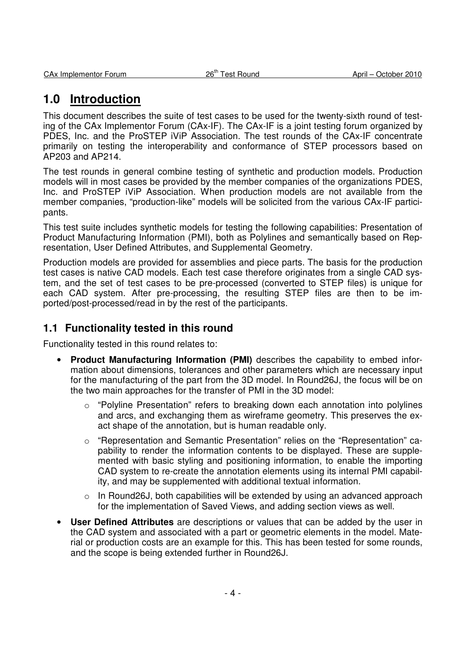# **1.0 Introduction**

This document describes the suite of test cases to be used for the twenty-sixth round of testing of the CAx Implementor Forum (CAx-IF). The CAx-IF is a joint testing forum organized by PDES, Inc. and the ProSTEP iViP Association. The test rounds of the CAx-IF concentrate primarily on testing the interoperability and conformance of STEP processors based on AP203 and AP214.

The test rounds in general combine testing of synthetic and production models. Production models will in most cases be provided by the member companies of the organizations PDES, Inc. and ProSTEP iViP Association. When production models are not available from the member companies, "production-like" models will be solicited from the various CAx-IF participants.

This test suite includes synthetic models for testing the following capabilities: Presentation of Product Manufacturing Information (PMI), both as Polylines and semantically based on Representation, User Defined Attributes, and Supplemental Geometry.

Production models are provided for assemblies and piece parts. The basis for the production test cases is native CAD models. Each test case therefore originates from a single CAD system, and the set of test cases to be pre-processed (converted to STEP files) is unique for each CAD system. After pre-processing, the resulting STEP files are then to be imported/post-processed/read in by the rest of the participants.

# **1.1 Functionality tested in this round**

Functionality tested in this round relates to:

- **Product Manufacturing Information (PMI)** describes the capability to embed information about dimensions, tolerances and other parameters which are necessary input for the manufacturing of the part from the 3D model. In Round26J, the focus will be on the two main approaches for the transfer of PMI in the 3D model:
	- $\circ$  "Polyline Presentation" refers to breaking down each annotation into polylines and arcs, and exchanging them as wireframe geometry. This preserves the exact shape of the annotation, but is human readable only.
	- o "Representation and Semantic Presentation" relies on the "Representation" capability to render the information contents to be displayed. These are supplemented with basic styling and positioning information, to enable the importing CAD system to re-create the annotation elements using its internal PMI capability, and may be supplemented with additional textual information.
	- $\circ$  In Round26J, both capabilities will be extended by using an advanced approach for the implementation of Saved Views, and adding section views as well.
- **User Defined Attributes** are descriptions or values that can be added by the user in the CAD system and associated with a part or geometric elements in the model. Material or production costs are an example for this. This has been tested for some rounds, and the scope is being extended further in Round26J.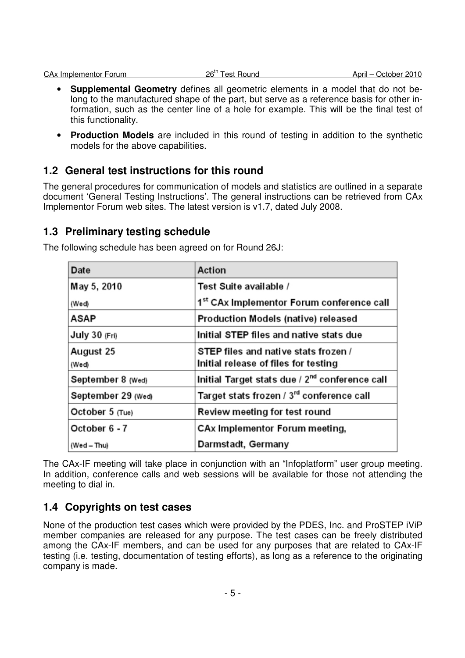- **Supplemental Geometry** defines all geometric elements in a model that do not belong to the manufactured shape of the part, but serve as a reference basis for other information, such as the center line of a hole for example. This will be the final test of this functionality.
- **Production Models** are included in this round of testing in addition to the synthetic models for the above capabilities.

# **1.2 General test instructions for this round**

The general procedures for communication of models and statistics are outlined in a separate document 'General Testing Instructions'. The general instructions can be retrieved from CAx Implementor Forum web sites. The latest version is v1.7, dated July 2008.

# **1.3 Preliminary testing schedule**

| Date               | Action                                                     |  |
|--------------------|------------------------------------------------------------|--|
| May 5, 2010        | Test Suite available /                                     |  |
| (Wed)              | 1st CAx Implementor Forum conference call                  |  |
| ASAP               | Production Models (native) released                        |  |
| July 30 (Fri)      | Initial STEP files and native stats due                    |  |
| August 25          | STEP files and native stats frozen /                       |  |
| (Wed)              | Initial release of files for testing                       |  |
| September 8 (Wed)  | Initial Target stats due / 2 <sup>nd</sup> conference call |  |
| September 29 (Wed) | Target stats frozen / 3rd conference call                  |  |
| October 5 (Tue)    | Review meeting for test round                              |  |
| October 6 - 7      | CAx Implementor Forum meeting,                             |  |
| (Wed – Thu)        | Darmstadt, Germany                                         |  |

The following schedule has been agreed on for Round 26J:

The CAx-IF meeting will take place in conjunction with an "Infoplatform" user group meeting. In addition, conference calls and web sessions will be available for those not attending the meeting to dial in.

# **1.4 Copyrights on test cases**

None of the production test cases which were provided by the PDES, Inc. and ProSTEP iViP member companies are released for any purpose. The test cases can be freely distributed among the CAx-IF members, and can be used for any purposes that are related to CAx-IF testing (i.e. testing, documentation of testing efforts), as long as a reference to the originating company is made.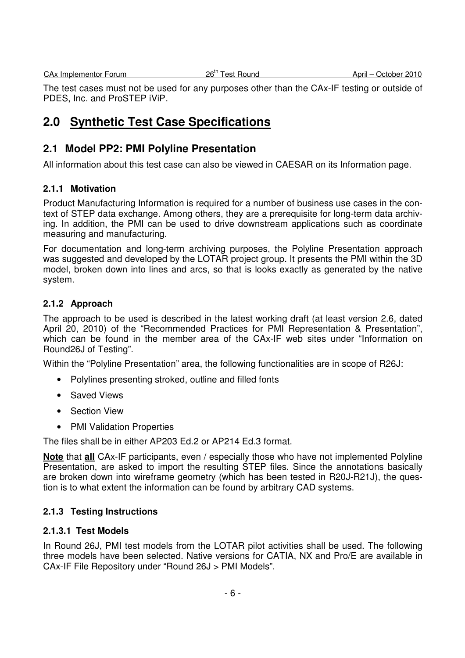The test cases must not be used for any purposes other than the CAx-IF testing or outside of PDES, Inc. and ProSTEP iViP.

# **2.0 Synthetic Test Case Specifications**

# **2.1 Model PP2: PMI Polyline Presentation**

All information about this test case can also be viewed in CAESAR on its Information page.

### **2.1.1 Motivation**

Product Manufacturing Information is required for a number of business use cases in the context of STEP data exchange. Among others, they are a prerequisite for long-term data archiving. In addition, the PMI can be used to drive downstream applications such as coordinate measuring and manufacturing.

For documentation and long-term archiving purposes, the Polyline Presentation approach was suggested and developed by the LOTAR project group. It presents the PMI within the 3D model, broken down into lines and arcs, so that is looks exactly as generated by the native system.

### **2.1.2 Approach**

The approach to be used is described in the latest working draft (at least version 2.6, dated April 20, 2010) of the "Recommended Practices for PMI Representation & Presentation", which can be found in the member area of the CAx-IF web sites under "Information on Round26J of Testing".

Within the "Polyline Presentation" area, the following functionalities are in scope of R26J:

- Polylines presenting stroked, outline and filled fonts
- Saved Views
- Section View
- PMI Validation Properties

The files shall be in either AP203 Ed.2 or AP214 Ed.3 format.

**Note** that **all** CAx-IF participants, even / especially those who have not implemented Polyline Presentation, are asked to import the resulting STEP files. Since the annotations basically are broken down into wireframe geometry (which has been tested in R20J-R21J), the question is to what extent the information can be found by arbitrary CAD systems.

## **2.1.3 Testing Instructions**

### **2.1.3.1 Test Models**

In Round 26J, PMI test models from the LOTAR pilot activities shall be used. The following three models have been selected. Native versions for CATIA, NX and Pro/E are available in CAx-IF File Repository under "Round 26J > PMI Models".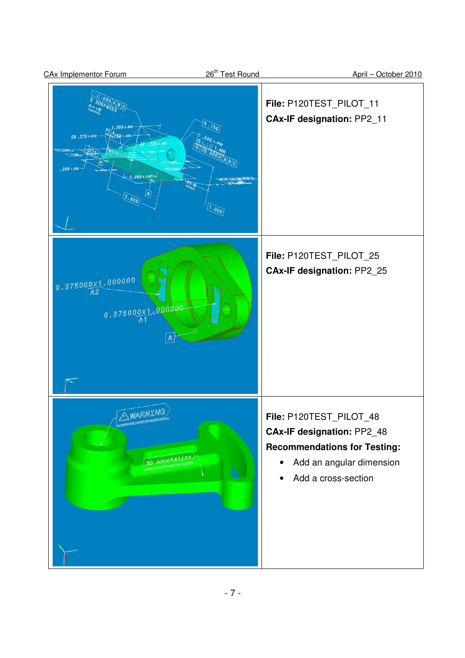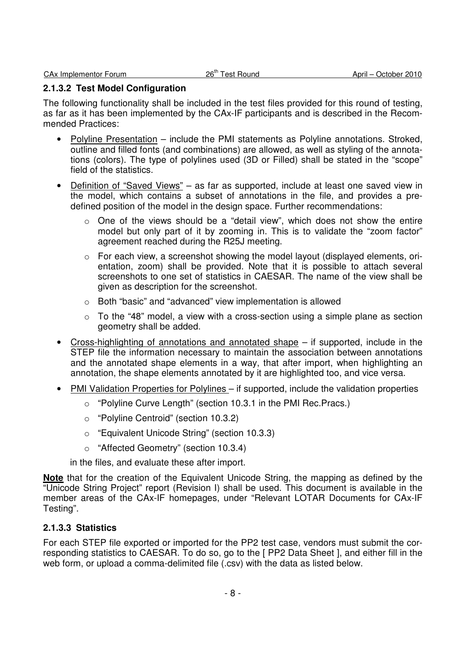### **2.1.3.2 Test Model Configuration**

The following functionality shall be included in the test files provided for this round of testing, as far as it has been implemented by the CAx-IF participants and is described in the Recommended Practices:

- Polyline Presentation include the PMI statements as Polyline annotations. Stroked, outline and filled fonts (and combinations) are allowed, as well as styling of the annotations (colors). The type of polylines used (3D or Filled) shall be stated in the "scope" field of the statistics.
- Definition of "Saved Views" as far as supported, include at least one saved view in the model, which contains a subset of annotations in the file, and provides a predefined position of the model in the design space. Further recommendations:
	- $\circ$  One of the views should be a "detail view", which does not show the entire model but only part of it by zooming in. This is to validate the "zoom factor" agreement reached during the R25J meeting.
	- $\circ$  For each view, a screenshot showing the model layout (displayed elements, orientation, zoom) shall be provided. Note that it is possible to attach several screenshots to one set of statistics in CAESAR. The name of the view shall be given as description for the screenshot.
	- o Both "basic" and "advanced" view implementation is allowed
	- $\circ$  To the "48" model, a view with a cross-section using a simple plane as section geometry shall be added.
- Cross-highlighting of annotations and annotated shape  $-$  if supported, include in the STEP file the information necessary to maintain the association between annotations and the annotated shape elements in a way, that after import, when highlighting an annotation, the shape elements annotated by it are highlighted too, and vice versa.
- **PMI Validation Properties for Polylines** if supported, include the validation properties
	- o "Polyline Curve Length" (section 10.3.1 in the PMI Rec.Pracs.)
	- o "Polyline Centroid" (section 10.3.2)
	- o "Equivalent Unicode String" (section 10.3.3)
	- o "Affected Geometry" (section 10.3.4)

in the files, and evaluate these after import.

**Note** that for the creation of the Equivalent Unicode String, the mapping as defined by the "Unicode String Project" report (Revision I) shall be used. This document is available in the member areas of the CAx-IF homepages, under "Relevant LOTAR Documents for CAx-IF Testing".

## **2.1.3.3 Statistics**

For each STEP file exported or imported for the PP2 test case, vendors must submit the corresponding statistics to CAESAR. To do so, go to the [ PP2 Data Sheet ], and either fill in the web form, or upload a comma-delimited file (.csv) with the data as listed below.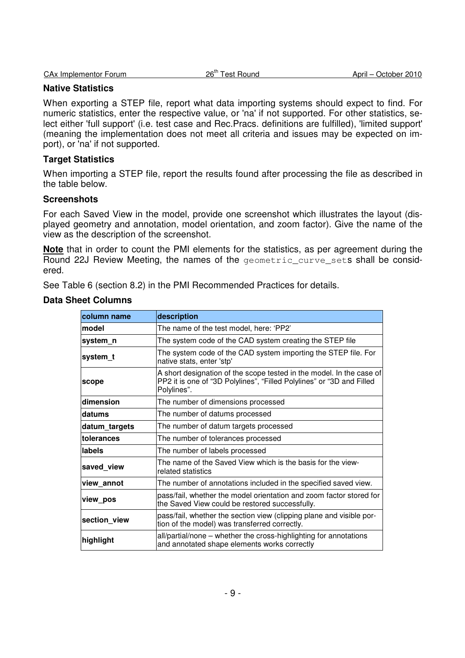|  | CAx Implementor Forum | $26^{\text{th}}$<br>Γest Round | October 2010<br>April – |
|--|-----------------------|--------------------------------|-------------------------|
|--|-----------------------|--------------------------------|-------------------------|

### **Native Statistics**

When exporting a STEP file, report what data importing systems should expect to find. For numeric statistics, enter the respective value, or 'na' if not supported. For other statistics, select either 'full support' (i.e. test case and Rec.Pracs. definitions are fulfilled), 'limited support' (meaning the implementation does not meet all criteria and issues may be expected on import), or 'na' if not supported.

### **Target Statistics**

When importing a STEP file, report the results found after processing the file as described in the table below.

### **Screenshots**

For each Saved View in the model, provide one screenshot which illustrates the layout (displayed geometry and annotation, model orientation, and zoom factor). Give the name of the view as the description of the screenshot.

**Note** that in order to count the PMI elements for the statistics, as per agreement during the Round 22J Review Meeting, the names of the geometric\_curve\_sets shall be considered.

See Table 6 (section 8.2) in the PMI Recommended Practices for details.

### **Data Sheet Columns**

| column name        | description                                                                                                                                                  |  |  |
|--------------------|--------------------------------------------------------------------------------------------------------------------------------------------------------------|--|--|
| lmodel             | The name of the test model, here: 'PP2'                                                                                                                      |  |  |
| system n           | The system code of the CAD system creating the STEP file                                                                                                     |  |  |
| system_t           | The system code of the CAD system importing the STEP file. For<br>native stats, enter 'stp'                                                                  |  |  |
| scope              | A short designation of the scope tested in the model. In the case of<br>PP2 it is one of "3D Polylines", "Filled Polylines" or "3D and Filled<br>Polylines". |  |  |
| dimension          | The number of dimensions processed                                                                                                                           |  |  |
| datums             | The number of datums processed                                                                                                                               |  |  |
| datum targets      | The number of datum targets processed                                                                                                                        |  |  |
| <b>Itolerances</b> | The number of tolerances processed                                                                                                                           |  |  |
| labels             | The number of labels processed                                                                                                                               |  |  |
| saved view         | The name of the Saved View which is the basis for the view-<br>related statistics                                                                            |  |  |
| view annot         | The number of annotations included in the specified saved view.                                                                                              |  |  |
| view pos           | pass/fail, whether the model orientation and zoom factor stored for<br>the Saved View could be restored successfully.                                        |  |  |
| section view       | pass/fail, whether the section view (clipping plane and visible por-<br>tion of the model) was transferred correctly.                                        |  |  |
| highlight          | all/partial/none – whether the cross-highlighting for annotations<br>and annotated shape elements works correctly                                            |  |  |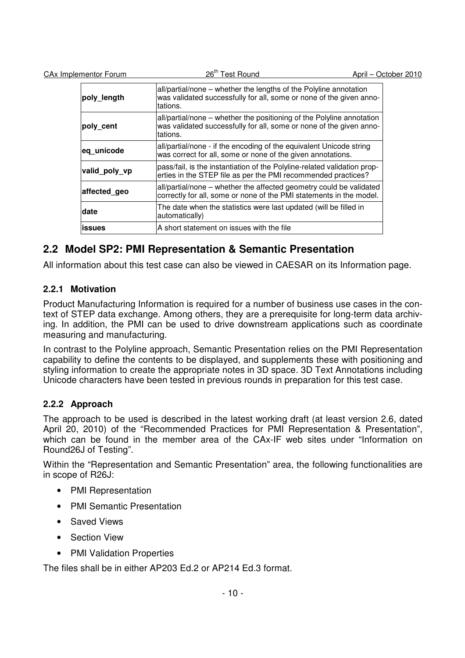CAx Implementor Forum 26<sup>th</sup> Test Round 20<sup>th</sup> Test Round April – October 2010

| poly_length   | all/partial/none – whether the lengths of the Polyline annotation<br>was validated successfully for all, some or none of the given anno-<br>tations.     |
|---------------|----------------------------------------------------------------------------------------------------------------------------------------------------------|
| poly cent     | all/partial/none – whether the positioning of the Polyline annotation<br>was validated successfully for all, some or none of the given anno-<br>tations. |
| eq unicode    | all/partial/none - if the encoding of the equivalent Unicode string<br>was correct for all, some or none of the given annotations.                       |
| valid poly vp | pass/fail, is the instantiation of the Polyline-related validation prop-<br>erties in the STEP file as per the PMI recommended practices?                |
| affected geo  | all/partial/none – whether the affected geometry could be validated<br>correctly for all, some or none of the PMI statements in the model.               |
| date          | The date when the statistics were last updated (will be filled in<br>automatically)                                                                      |
| <b>issues</b> | A short statement on issues with the file                                                                                                                |

# **2.2 Model SP2: PMI Representation & Semantic Presentation**

All information about this test case can also be viewed in CAESAR on its Information page.

## **2.2.1 Motivation**

Product Manufacturing Information is required for a number of business use cases in the context of STEP data exchange. Among others, they are a prerequisite for long-term data archiving. In addition, the PMI can be used to drive downstream applications such as coordinate measuring and manufacturing.

In contrast to the Polyline approach, Semantic Presentation relies on the PMI Representation capability to define the contents to be displayed, and supplements these with positioning and styling information to create the appropriate notes in 3D space. 3D Text Annotations including Unicode characters have been tested in previous rounds in preparation for this test case.

## **2.2.2 Approach**

The approach to be used is described in the latest working draft (at least version 2.6, dated April 20, 2010) of the "Recommended Practices for PMI Representation & Presentation", which can be found in the member area of the CAx-IF web sites under "Information on Round26J of Testing".

Within the "Representation and Semantic Presentation" area, the following functionalities are in scope of R26J:

- PMI Representation
- PMI Semantic Presentation
- Saved Views
- Section View
- PMI Validation Properties

The files shall be in either AP203 Ed.2 or AP214 Ed.3 format.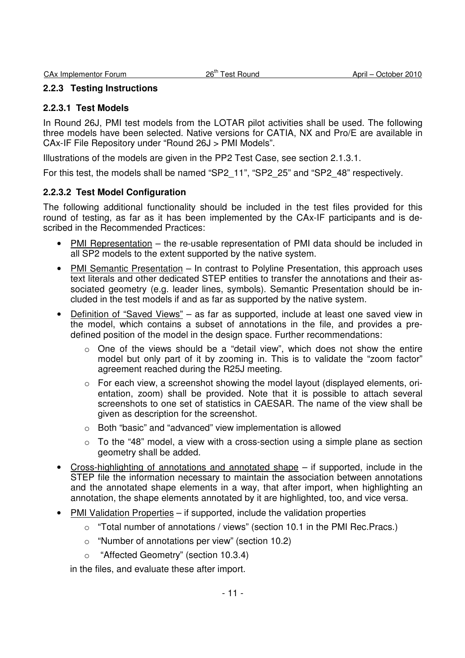### **2.2.3 Testing Instructions**

#### **2.2.3.1 Test Models**

In Round 26J, PMI test models from the LOTAR pilot activities shall be used. The following three models have been selected. Native versions for CATIA, NX and Pro/E are available in CAx-IF File Repository under "Round 26J > PMI Models".

Illustrations of the models are given in the PP2 Test Case, see section 2.1.3.1.

For this test, the models shall be named "SP2\_11", "SP2\_25" and "SP2\_48" respectively.

### **2.2.3.2 Test Model Configuration**

The following additional functionality should be included in the test files provided for this round of testing, as far as it has been implemented by the CAx-IF participants and is described in the Recommended Practices:

- PMI Representation the re-usable representation of PMI data should be included in all SP2 models to the extent supported by the native system.
- PMI Semantic Presentation In contrast to Polyline Presentation, this approach uses text literals and other dedicated STEP entities to transfer the annotations and their associated geometry (e.g. leader lines, symbols). Semantic Presentation should be included in the test models if and as far as supported by the native system.
- Definition of "Saved Views" as far as supported, include at least one saved view in the model, which contains a subset of annotations in the file, and provides a predefined position of the model in the design space. Further recommendations:
	- o One of the views should be a "detail view", which does not show the entire model but only part of it by zooming in. This is to validate the "zoom factor" agreement reached during the R25J meeting.
	- o For each view, a screenshot showing the model layout (displayed elements, orientation, zoom) shall be provided. Note that it is possible to attach several screenshots to one set of statistics in CAESAR. The name of the view shall be given as description for the screenshot.
	- o Both "basic" and "advanced" view implementation is allowed
	- $\circ$  To the "48" model, a view with a cross-section using a simple plane as section geometry shall be added.
- $Cross-highlighting of annotations and annotated shape if supported, include in the$ STEP file the information necessary to maintain the association between annotations and the annotated shape elements in a way, that after import, when highlighting an annotation, the shape elements annotated by it are highlighted, too, and vice versa.
- **PMI Validation Properties** if supported, include the validation properties
	- o "Total number of annotations / views" (section 10.1 in the PMI Rec.Pracs.)
	- o "Number of annotations per view" (section 10.2)
	- o "Affected Geometry" (section 10.3.4)

in the files, and evaluate these after import.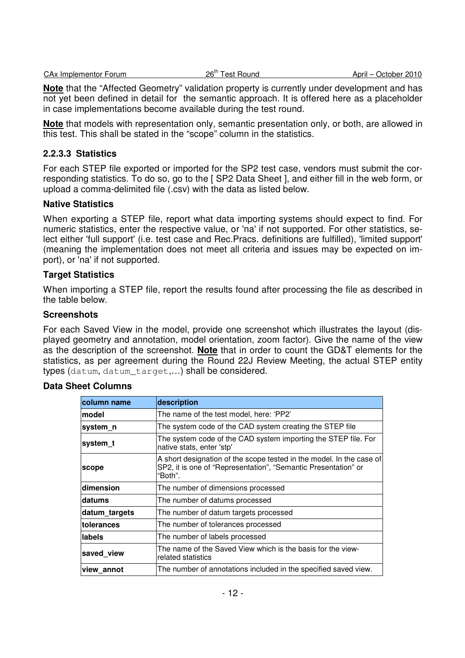| CAx           | $2e^{th}$ | 2010    |
|---------------|-----------|---------|
| ⊟mplementor H | Round     | October |
| Forum         | ⊥est      | April – |

**Note** that the "Affected Geometry" validation property is currently under development and has not yet been defined in detail for the semantic approach. It is offered here as a placeholder in case implementations become available during the test round.

**Note** that models with representation only, semantic presentation only, or both, are allowed in this test. This shall be stated in the "scope" column in the statistics.

### **2.2.3.3 Statistics**

For each STEP file exported or imported for the SP2 test case, vendors must submit the corresponding statistics. To do so, go to the [ SP2 Data Sheet ], and either fill in the web form, or upload a comma-delimited file (.csv) with the data as listed below.

### **Native Statistics**

When exporting a STEP file, report what data importing systems should expect to find. For numeric statistics, enter the respective value, or 'na' if not supported. For other statistics, select either 'full support' (i.e. test case and Rec.Pracs. definitions are fulfilled), 'limited support' (meaning the implementation does not meet all criteria and issues may be expected on import), or 'na' if not supported.

### **Target Statistics**

When importing a STEP file, report the results found after processing the file as described in the table below.

#### **Screenshots**

For each Saved View in the model, provide one screenshot which illustrates the layout (displayed geometry and annotation, model orientation, zoom factor). Give the name of the view as the description of the screenshot. **Note** that in order to count the GD&T elements for the statistics, as per agreement during the Round 22J Review Meeting, the actual STEP entity types (datum, datum\_target,…) shall be considered.

### **Data Sheet Columns**

| column name   | description                                                                                                                                       |  |
|---------------|---------------------------------------------------------------------------------------------------------------------------------------------------|--|
| Imodel        | The name of the test model, here: 'PP2'                                                                                                           |  |
| system_n      | The system code of the CAD system creating the STEP file                                                                                          |  |
| system t      | The system code of the CAD system importing the STEP file. For<br>native stats, enter 'stp'                                                       |  |
| scope         | A short designation of the scope tested in the model. In the case of<br>SP2, it is one of "Representation", "Semantic Presentation" or<br>"Both". |  |
| dimension     | The number of dimensions processed                                                                                                                |  |
| datums        | The number of datums processed                                                                                                                    |  |
| datum_targets | The number of datum targets processed                                                                                                             |  |
| tolerances    | The number of tolerances processed                                                                                                                |  |
| labels        | The number of labels processed                                                                                                                    |  |
| saved view    | The name of the Saved View which is the basis for the view-<br>related statistics                                                                 |  |
| lview annot   | The number of annotations included in the specified saved view.                                                                                   |  |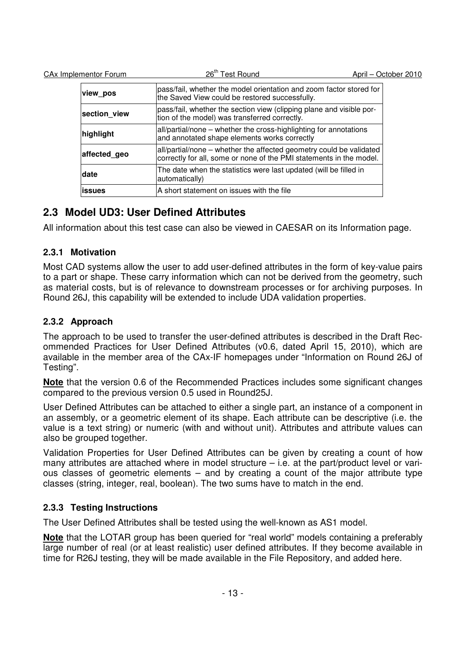| CAx Implementor Forum | 26 <sup>th</sup> Test Round                                                                                                                | April - October 2010 |
|-----------------------|--------------------------------------------------------------------------------------------------------------------------------------------|----------------------|
| view_pos              | pass/fail, whether the model orientation and zoom factor stored for<br>the Saved View could be restored successfully.                      |                      |
| section view          | pass/fail, whether the section view (clipping plane and visible por-<br>tion of the model) was transferred correctly.                      |                      |
| highlight             | all/partial/none - whether the cross-highlighting for annotations<br>and annotated shape elements works correctly                          |                      |
| affected geo          | all/partial/none – whether the affected geometry could be validated<br>correctly for all, some or none of the PMI statements in the model. |                      |
| <b>date</b>           | The date when the statistics were last updated (will be filled in<br>automatically)                                                        |                      |
| issues                | A short statement on issues with the file                                                                                                  |                      |

# **2.3 Model UD3: User Defined Attributes**

All information about this test case can also be viewed in CAESAR on its Information page.

# **2.3.1 Motivation**

Most CAD systems allow the user to add user-defined attributes in the form of key-value pairs to a part or shape. These carry information which can not be derived from the geometry, such as material costs, but is of relevance to downstream processes or for archiving purposes. In Round 26J, this capability will be extended to include UDA validation properties.

# **2.3.2 Approach**

The approach to be used to transfer the user-defined attributes is described in the Draft Recommended Practices for User Defined Attributes (v0.6, dated April 15, 2010), which are available in the member area of the CAx-IF homepages under "Information on Round 26J of Testing".

**Note** that the version 0.6 of the Recommended Practices includes some significant changes compared to the previous version 0.5 used in Round25J.

User Defined Attributes can be attached to either a single part, an instance of a component in an assembly, or a geometric element of its shape. Each attribute can be descriptive (i.e. the value is a text string) or numeric (with and without unit). Attributes and attribute values can also be grouped together.

Validation Properties for User Defined Attributes can be given by creating a count of how many attributes are attached where in model structure – i.e. at the part/product level or various classes of geometric elements – and by creating a count of the major attribute type classes (string, integer, real, boolean). The two sums have to match in the end.

# **2.3.3 Testing Instructions**

The User Defined Attributes shall be tested using the well-known as AS1 model.

**Note** that the LOTAR group has been queried for "real world" models containing a preferably large number of real (or at least realistic) user defined attributes. If they become available in time for R26J testing, they will be made available in the File Repository, and added here.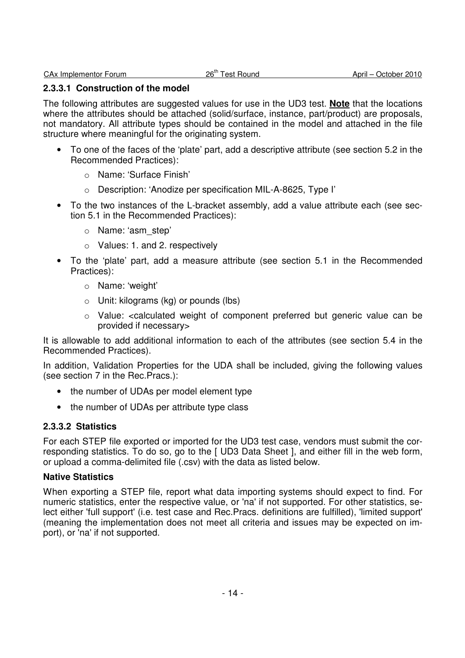#### **2.3.3.1 Construction of the model**

The following attributes are suggested values for use in the UD3 test. **Note** that the locations where the attributes should be attached (solid/surface, instance, part/product) are proposals, not mandatory. All attribute types should be contained in the model and attached in the file structure where meaningful for the originating system.

- To one of the faces of the 'plate' part, add a descriptive attribute (see section 5.2 in the Recommended Practices):
	- o Name: 'Surface Finish'
	- o Description: 'Anodize per specification MIL-A-8625, Type I'
- To the two instances of the L-bracket assembly, add a value attribute each (see section 5.1 in the Recommended Practices):
	- o Name: 'asm\_step'
	- o Values: 1. and 2. respectively
- To the 'plate' part, add a measure attribute (see section 5.1 in the Recommended Practices):
	- o Name: 'weight'
	- o Unit: kilograms (kg) or pounds (lbs)
	- o Value: <calculated weight of component preferred but generic value can be provided if necessary>

It is allowable to add additional information to each of the attributes (see section 5.4 in the Recommended Practices).

In addition, Validation Properties for the UDA shall be included, giving the following values (see section 7 in the Rec.Pracs.):

- the number of UDAs per model element type
- the number of UDAs per attribute type class

### **2.3.3.2 Statistics**

For each STEP file exported or imported for the UD3 test case, vendors must submit the corresponding statistics. To do so, go to the [ UD3 Data Sheet ], and either fill in the web form, or upload a comma-delimited file (.csv) with the data as listed below.

#### **Native Statistics**

When exporting a STEP file, report what data importing systems should expect to find. For numeric statistics, enter the respective value, or 'na' if not supported. For other statistics, select either 'full support' (i.e. test case and Rec.Pracs. definitions are fulfilled), 'limited support' (meaning the implementation does not meet all criteria and issues may be expected on import), or 'na' if not supported.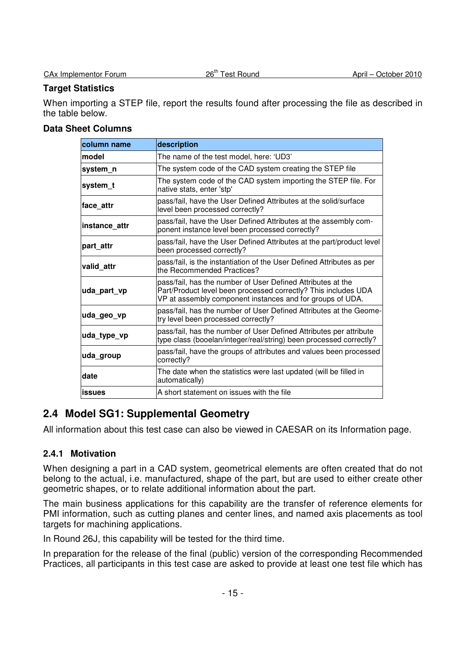## **Target Statistics**

When importing a STEP file, report the results found after processing the file as described in the table below.

## **Data Sheet Columns**

| column name   | description                                                                                                                                                                                |  |  |
|---------------|--------------------------------------------------------------------------------------------------------------------------------------------------------------------------------------------|--|--|
| Imodel        | The name of the test model, here: 'UD3'                                                                                                                                                    |  |  |
| system n      | The system code of the CAD system creating the STEP file                                                                                                                                   |  |  |
| system t      | The system code of the CAD system importing the STEP file. For<br>native stats, enter 'stp'                                                                                                |  |  |
| face attr     | pass/fail, have the User Defined Attributes at the solid/surface<br>level been processed correctly?                                                                                        |  |  |
| instance attr | pass/fail, have the User Defined Attributes at the assembly com-<br>ponent instance level been processed correctly?                                                                        |  |  |
| part attr     | pass/fail, have the User Defined Attributes at the part/product level<br>been processed correctly?                                                                                         |  |  |
| valid attr    | pass/fail, is the instantiation of the User Defined Attributes as per<br>the Recommended Practices?                                                                                        |  |  |
| uda_part_vp   | pass/fail, has the number of User Defined Attributes at the<br>Part/Product level been processed correctly? This includes UDA<br>VP at assembly component instances and for groups of UDA. |  |  |
| uda_geo_vp    | pass/fail, has the number of User Defined Attributes at the Geome-<br>try level been processed correctly?                                                                                  |  |  |
| uda_type_vp   | pass/fail, has the number of User Defined Attributes per attribute<br>type class (booelan/integer/real/string) been processed correctly?                                                   |  |  |
| uda group     | pass/fail, have the groups of attributes and values been processed<br>correctly?                                                                                                           |  |  |
| date          | The date when the statistics were last updated (will be filled in<br>automatically)                                                                                                        |  |  |
| <b>issues</b> | A short statement on issues with the file                                                                                                                                                  |  |  |

# **2.4 Model SG1: Supplemental Geometry**

All information about this test case can also be viewed in CAESAR on its Information page.

## **2.4.1 Motivation**

When designing a part in a CAD system, geometrical elements are often created that do not belong to the actual, i.e. manufactured, shape of the part, but are used to either create other geometric shapes, or to relate additional information about the part.

The main business applications for this capability are the transfer of reference elements for PMI information, such as cutting planes and center lines, and named axis placements as tool targets for machining applications.

In Round 26J, this capability will be tested for the third time.

In preparation for the release of the final (public) version of the corresponding Recommended Practices, all participants in this test case are asked to provide at least one test file which has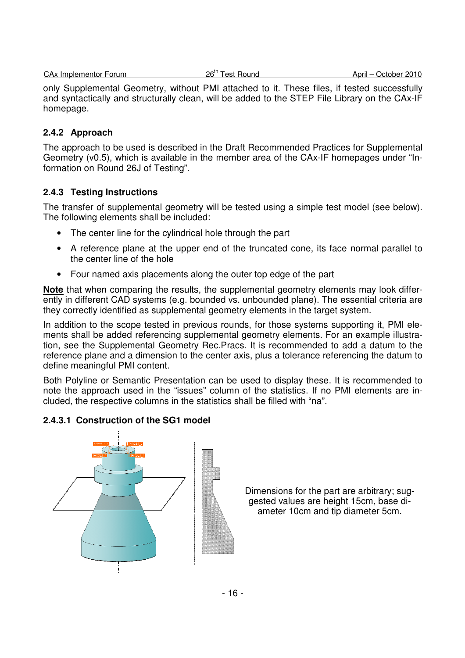only Supplemental Geometry, without PMI attached to it. These files, if tested successfully and syntactically and structurally clean, will be added to the STEP File Library on the CAx-IF homepage.

## **2.4.2 Approach**

The approach to be used is described in the Draft Recommended Practices for Supplemental Geometry (v0.5), which is available in the member area of the CAx-IF homepages under "Information on Round 26J of Testing".

## **2.4.3 Testing Instructions**

The transfer of supplemental geometry will be tested using a simple test model (see below). The following elements shall be included:

- The center line for the cylindrical hole through the part
- A reference plane at the upper end of the truncated cone, its face normal parallel to the center line of the hole
- Four named axis placements along the outer top edge of the part

**Note** that when comparing the results, the supplemental geometry elements may look differently in different CAD systems (e.g. bounded vs. unbounded plane). The essential criteria are they correctly identified as supplemental geometry elements in the target system.

In addition to the scope tested in previous rounds, for those systems supporting it, PMI elements shall be added referencing supplemental geometry elements. For an example illustration, see the Supplemental Geometry Rec.Pracs. It is recommended to add a datum to the reference plane and a dimension to the center axis, plus a tolerance referencing the datum to define meaningful PMI content.

Both Polyline or Semantic Presentation can be used to display these. It is recommended to note the approach used in the "issues" column of the statistics. If no PMI elements are included, the respective columns in the statistics shall be filled with "na".

## **2.4.3.1 Construction of the SG1 model**



Dimensions for the part are arbitrary; suggested values are height 15cm, base diameter 10cm and tip diameter 5cm.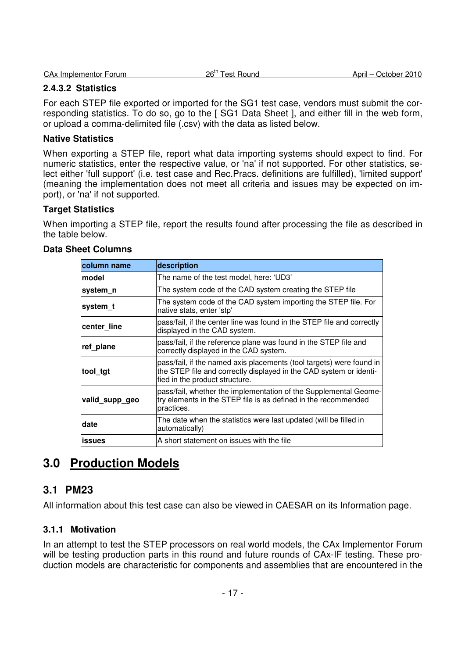| <b>CAx Implementor Forum</b> | 26 <sup>th</sup> To<br><b>Test Round</b> | April – C<br>October 2010 |
|------------------------------|------------------------------------------|---------------------------|
|                              |                                          |                           |

## **2.4.3.2 Statistics**

For each STEP file exported or imported for the SG1 test case, vendors must submit the corresponding statistics. To do so, go to the [ SG1 Data Sheet ], and either fill in the web form, or upload a comma-delimited file (.csv) with the data as listed below.

## **Native Statistics**

When exporting a STEP file, report what data importing systems should expect to find. For numeric statistics, enter the respective value, or 'na' if not supported. For other statistics, select either 'full support' (i.e. test case and Rec.Pracs. definitions are fulfilled), 'limited support' (meaning the implementation does not meet all criteria and issues may be expected on import), or 'na' if not supported.

## **Target Statistics**

When importing a STEP file, report the results found after processing the file as described in the table below.

| column name    | description                                                                                                                                                                  |
|----------------|------------------------------------------------------------------------------------------------------------------------------------------------------------------------------|
| lmodel         | The name of the test model, here: 'UD3'                                                                                                                                      |
| system_n       | The system code of the CAD system creating the STEP file                                                                                                                     |
| system_t       | The system code of the CAD system importing the STEP file. For<br>native stats, enter 'stp'                                                                                  |
| center_line    | pass/fail, if the center line was found in the STEP file and correctly<br>displayed in the CAD system.                                                                       |
| ref plane      | pass/fail, if the reference plane was found in the STEP file and<br>correctly displayed in the CAD system.                                                                   |
| tool_tgt       | pass/fail, if the named axis placements (tool targets) were found in<br>the STEP file and correctly displayed in the CAD system or identi-<br>fied in the product structure. |
| valid_supp_geo | pass/fail, whether the implementation of the Supplemental Geome-<br>try elements in the STEP file is as defined in the recommended<br>practices.                             |
| date           | The date when the statistics were last updated (will be filled in<br>automatically)                                                                                          |
| issues         | A short statement on issues with the file                                                                                                                                    |

# **3.0 Production Models**

# **3.1 PM23**

All information about this test case can also be viewed in CAESAR on its Information page.

## **3.1.1 Motivation**

In an attempt to test the STEP processors on real world models, the CAx Implementor Forum will be testing production parts in this round and future rounds of CAx-IF testing. These production models are characteristic for components and assemblies that are encountered in the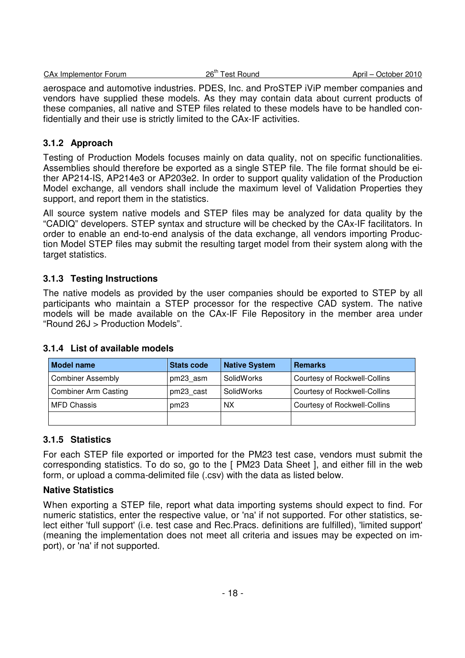| April<br>Round<br>. est ' | CA <sub>x</sub> Implementor Forum | $26^{\text{th}}$ | October 2010 |
|---------------------------|-----------------------------------|------------------|--------------|
|---------------------------|-----------------------------------|------------------|--------------|

aerospace and automotive industries. PDES, Inc. and ProSTEP iViP member companies and vendors have supplied these models. As they may contain data about current products of these companies, all native and STEP files related to these models have to be handled confidentially and their use is strictly limited to the CAx-IF activities.

## **3.1.2 Approach**

Testing of Production Models focuses mainly on data quality, not on specific functionalities. Assemblies should therefore be exported as a single STEP file. The file format should be either AP214-IS, AP214e3 or AP203e2. In order to support quality validation of the Production Model exchange, all vendors shall include the maximum level of Validation Properties they support, and report them in the statistics.

All source system native models and STEP files may be analyzed for data quality by the "CADIQ" developers. STEP syntax and structure will be checked by the CAx-IF facilitators. In order to enable an end-to-end analysis of the data exchange, all vendors importing Production Model STEP files may submit the resulting target model from their system along with the target statistics.

## **3.1.3 Testing Instructions**

The native models as provided by the user companies should be exported to STEP by all participants who maintain a STEP processor for the respective CAD system. The native models will be made available on the CAx-IF File Repository in the member area under "Round 26J > Production Models".

| <b>Model name</b>           | <b>Stats code</b> | <b>Native System</b> | <b>Remarks</b>               |
|-----------------------------|-------------------|----------------------|------------------------------|
| <b>Combiner Assembly</b>    | pm23 asm          | SolidWorks           | Courtesy of Rockwell-Collins |
| <b>Combiner Arm Casting</b> | pm23 cast         | SolidWorks           | Courtesy of Rockwell-Collins |
| <b>MFD Chassis</b>          | pm23              | <b>NX</b>            | Courtesy of Rockwell-Collins |
|                             |                   |                      |                              |

## **3.1.4 List of available models**

# **3.1.5 Statistics**

For each STEP file exported or imported for the PM23 test case, vendors must submit the corresponding statistics. To do so, go to the [ PM23 Data Sheet ], and either fill in the web form, or upload a comma-delimited file (.csv) with the data as listed below.

## **Native Statistics**

When exporting a STEP file, report what data importing systems should expect to find. For numeric statistics, enter the respective value, or 'na' if not supported. For other statistics, select either 'full support' (i.e. test case and Rec.Pracs. definitions are fulfilled), 'limited support' (meaning the implementation does not meet all criteria and issues may be expected on import), or 'na' if not supported.